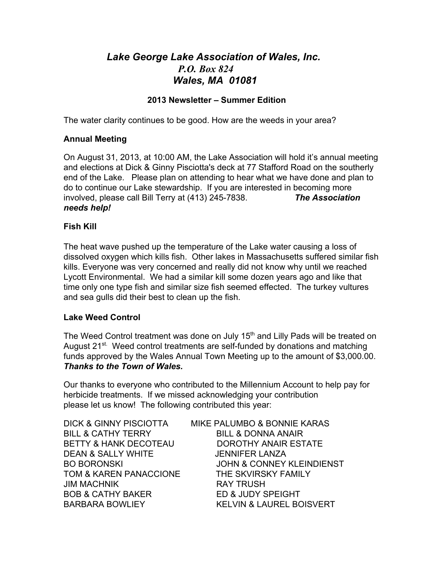# *Lake George Lake Association of Wales, Inc. P.O. Box 824 Wales, MA 01081*

# **2013 Newsletter – Summer Edition**

The water clarity continues to be good. How are the weeds in your area?

# **Annual Meeting**

On August 31, 2013, at 10:00 AM, the Lake Association will hold it's annual meeting and elections at Dick & Ginny Pisciotta's deck at 77 Stafford Road on the southerly end of the Lake. Please plan on attending to hear what we have done and plan to do to continue our Lake stewardship. If you are interested in becoming more involved, please call Bill Terry at (413) 2457838. *The Association needs help!*

## **Fish Kill**

The heat wave pushed up the temperature of the Lake water causing a loss of dissolved oxygen which kills fish. Other lakes in Massachusetts suffered similar fish kills. Everyone was very concerned and really did not know why until we reached Lycott Environmental. We had a similar kill some dozen years ago and like that time only one type fish and similar size fish seemed effected. The turkey vultures and sea gulls did their best to clean up the fish.

## **Lake Weed Control**

The Weed Control treatment was done on July 15<sup>th</sup> and Lilly Pads will be treated on August 21<sup>st.</sup> Weed control treatments are self-funded by donations and matching funds approved by the Wales Annual Town Meeting up to the amount of \$3,000.00. *Thanks to the Town of Wales.*

Our thanks to everyone who contributed to the Millennium Account to help pay for herbicide treatments. If we missed acknowledging your contribution please let us know! The following contributed this year:

BILL & CATHY TERRY BILL & DONNA ANAIR DEAN & SALLY WHITE JENNIFER LANZA TOM & KAREN PANACCIONE THE SKVIRSKY FAMILY JIM MACHNIK RAY TRUSH BOB & CATHY BAKER ED & JUDY SPEIGHT

DICK & GINNY PISCIOTTA MIKE PALUMBO & BONNIE KARAS BETTY & HANK DECOTEAU DOROTHY ANAIR ESTATE BO BORONSKI JOHN & CONNEY KLEINDIENST BARBARA BOWLIEY KELVIN & LAUREL BOISVERT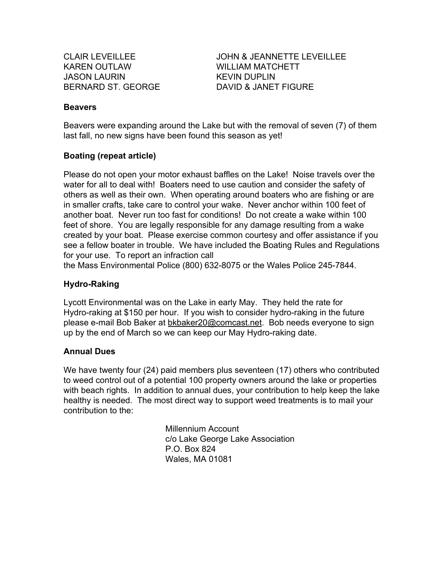KAREN OUTLAW WILLIAM MATCHETT JASON LAURIN KEVIN DUPLIN BERNARD ST. GEORGE **DAVID & JANET FIGURE** 

CLAIR LEVEILLEE JOHN & JEANNETTE LEVEILLEE

#### **Beavers**

Beavers were expanding around the Lake but with the removal of seven (7) of them last fall, no new signs have been found this season as yet!

#### **Boating (repeat article)**

Please do not open your motor exhaust baffles on the Lake! Noise travels over the water for all to deal with! Boaters need to use caution and consider the safety of others as well as their own. When operating around boaters who are fishing or are in smaller crafts, take care to control your wake. Never anchor within 100 feet of another boat. Never run too fast for conditions! Do not create a wake within 100 feet of shore. You are legally responsible for any damage resulting from a wake created by your boat. Please exercise common courtesy and offer assistance if you see a fellow boater in trouble. We have included the Boating Rules and Regulations for your use. To report an infraction call

the Mass Environmental Police (800) 632-8075 or the Wales Police 245-7844.

#### **Hydro-Raking**

Lycott Environmental was on the Lake in early May. They held the rate for Hydro-raking at \$150 per hour. If you wish to consider hydro-raking in the future please email Bob Baker at bkbaker20@comcast.net. Bob needs everyone to sign up by the end of March so we can keep our May Hydro-raking date.

#### **Annual Dues**

We have twenty four (24) paid members plus seventeen (17) others who contributed to weed control out of a potential 100 property owners around the lake or properties with beach rights. In addition to annual dues, your contribution to help keep the lake healthy is needed. The most direct way to support weed treatments is to mail your contribution to the:

> Millennium Account c/o Lake George Lake Association P.O. Box 824 Wales, MA 01081